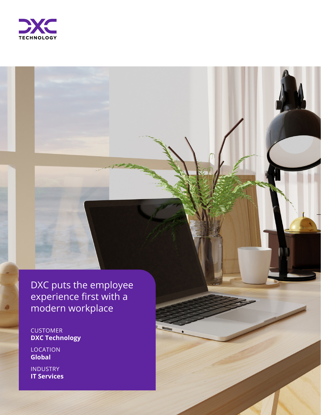

DXC puts the employee experience first with a modern workplace

CUSTOMER **DXC Technology**

LOCATION **Global**

INDUSTRY **IT Services**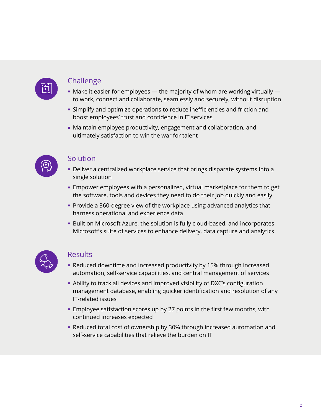

## **Challenge**

- $\blacksquare$  Make it easier for employees the majority of whom are working virtually to work, connect and collaborate, seamlessly and securely, without disruption
- **EX Simplify and optimize operations to reduce inefficiencies and friction and** boost employees' trust and confidence in IT services
- Maintain employee productivity, engagement and collaboration, and ultimately satisfaction to win the war for talent



## Solution

- **-** Deliver a centralized workplace service that brings disparate systems into a single solution
- **Empower employees with a personalized, virtual marketplace for them to get** the software, tools and devices they need to do their job quickly and easily
- Provide a 360-degree view of the workplace using advanced analytics that harness operational and experience data
- **Built on Microsoft Azure, the solution is fully cloud-based, and incorporates** Microsoft's suite of services to enhance delivery, data capture and analytics



## Results

- Reduced downtime and increased productivity by 15% through increased automation, self-service capabilities, and central management of services
- Ability to track all devices and improved visibility of DXC's configuration management database, enabling quicker identification and resolution of any IT-related issues
- **Employee satisfaction scores up by 27 points in the first few months, with** continued increases expected
- Reduced total cost of ownership by 30% through increased automation and self-service capabilities that relieve the burden on IT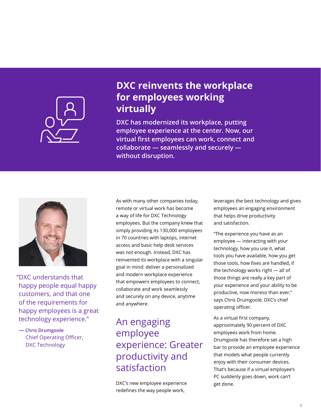

## **DXC reinvents the workplace Bar Headline" for employees working Introductory text is in style "p.3 Purple Bar body virtually**

**DXC has modernized its workplace, putting**  $\overline{\phantom{a}}$ **leading. Text box can be extended all the way employee experience at the center. Now, our to the right if there is a lot of introductory text. virtual first employees can work, connect and Adjust the height of the purple box to match the collaborate — seamlessly and securely auto adjusted height of the text box. without disruption.**



"DXC understands that happy people equal happy customers, and that one of the requirements for happy employees is a great technology experience."

**— Chris Drumgoole** Chief Operating Officer, DXC Technology

As with many other companies today, remote or virtual work has become a way of life for DXC Technology employees. But the company knew that simply providing its 130,000 employees in 70 countries with laptops, internet access and basic help desk services was not enough. Instead, DXC has reinvented its workplace with a singular goal in mind: deliver a personalized and modern workplace experience that empowers employees to connect, collaborate and work seamlessly and securely on any device, anytime and anywhere.

# An engaging employee experience: Greater productivity and satisfaction

DXC's new employee experience redefines the way people work,

leverages the best technology and gives employees an engaging environment that helps drive productivity and satisfaction.

"The experience you have as an employee — interacting with your technology, how you use it, what tools you have available, how you get those tools, how fixes are handled, if the technology works right — all of those things are really a key part of your experience and your ability to be productive, now moreso than ever," says Chris Drumgoole, DXC's chief operating officer.

As a virtual first company, approximately 90 percent of DXC employees work from home. Drumgoole has therefore set a high bar to provide an employee experience that models what people currently enjoy with their consumer devices. That's because if a virtual employee's PC suddenly goes down, work can't get done.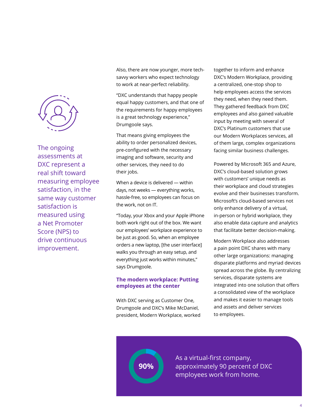

The ongoing assessments at DXC represent a real shift toward measuring employee satisfaction, in the same way customer satisfaction is measured using a Net Promoter Score (NPS) to drive continuous improvement.

Also, there are now younger, more techsavvy workers who expect technology to work at near-perfect reliability.

"DXC understands that happy people equal happy customers, and that one of the requirements for happy employees is a great technology experience," Drumgoole says.

That means giving employees the ability to order personalized devices, pre-configured with the necessary imaging and software, security and other services, they need to do their jobs.

When a device is delivered — within days, not weeks — everything works, hassle-free, so employees can focus on the work, not on IT.

"Today, your Xbox and your Apple iPhone both work right out of the box. We want our employees' workplace experience to be just as good. So, when an employee orders a new laptop, [the user interface] walks you through an easy setup, and everything just works within minutes," says Drumgoole.

### **The modern workplace: Putting employees at the center**

With DXC serving as Customer One, Drumgoole and DXC's Mike McDaniel, president, Modern Workplace, worked

**90%**

together to inform and enhance DXC's Modern Workplace, providing a centralized, one-stop shop to help employees access the services they need, when they need them. They gathered feedback from DXC employees and also gained valuable input by meeting with several of DXC's Platinum customers that use our Modern Workplaces services, all of them large, complex organizations facing similar business challenges.

Powered by Microsoft 365 and Azure, DXC's cloud-based solution grows with customers' unique needs as their workplace and cloud strategies evolve and their businesses transform. Microsoft's cloud-based services not only enhance delivery of a virtual, in-person or hybrid workplace, they also enable data capture and analytics that facilitate better decision-making.

Modern Workplace also addresses a pain point DXC shares with many other large organizations: managing disparate platforms and myriad devices spread across the globe. By centralizing services, disparate systems are integrated into one solution that offers a consolidated view of the workplace and makes it easier to manage tools and assets and deliver services to employees.

As a virtual-first company, approximately 90 percent of DXC employees work from home.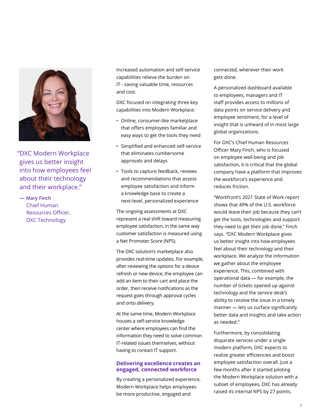

"DXC Modern Workplace gives us better insight into how employees feel about their technology and their workplace."

**— Mary Finch** Chief Human Resources Officer, DXC Technology

Increased automation and self-service capabilities relieve the burden on IT - saving valuable time, resources and cost.

DXC focused on integrating three key capabilities into Modern Workplace:

- Online, consumer-like marketplace that offers employees familiar and easy ways to get the tools they need
- Simplified and enhanced self-service that eliminates cumbersome approvals and delays
- Tools to capture feedback, reviews and recommendations that assess employee satisfaction and inform a knowledge base to create a next-level, personalized experience

The ongoing assessments at DXC represent a real shift toward measuring employee satisfaction, in the same way customer satisfaction is measured using a Net Promoter Score (NPS).

The DXC solution's marketplace also provides real-time updates. For example, after reviewing the options for a device refresh or new device, the employee can add an item to their cart and place the order, then receive notifications as the request goes through approval cycles and onto delivery.

At the same time, Modern Workplace houses a self-service knowledge center where employees can find the information they need to solve common IT-related issues themselves, without having to contact IT support.

#### **Delivering excellence creates an engaged, connected workforce**

By creating a personalized experience, Modern Workplace helps employees be more productive, engaged and

connected, wherever their work gets done.

A personalized dashboard available to employees, managers and IT staff provides access to millions of data points on service delivery and employee sentiment, for a level of insight that is unheard of in most large global organizations.

For DXC's Chief Human Resources Officer Mary Finch, who is focused on employee well-being and job satisfaction, it is critical that the global company have a platform that improves the workforce's experience and reduces friction.

"Workfront's 2021 State of Work report shows that 49% of the U.S. workforce would leave their job because they can't get the tools, technologies and support they need to get their job done," Finch says. "DXC Modern Workplace gives us better insight into how employees feel about their technology and their workplace. We analyze the information we gather about the employee experience. This, combined with operational data — for example, the number of tickets opened up against technology and the service desk's ability to resolve the issue in a timely manner — lets us surface significantly better data and insights and take action as needed."

Furthermore, by consolidating disparate services under a single modern platform, DXC expects to realize greater efficiencies and boost employee satisfaction overall. Just a few months after it started piloting the Modern Workplace solution with a subset of employees, DXC has already raised its internal NPS by 27 points.